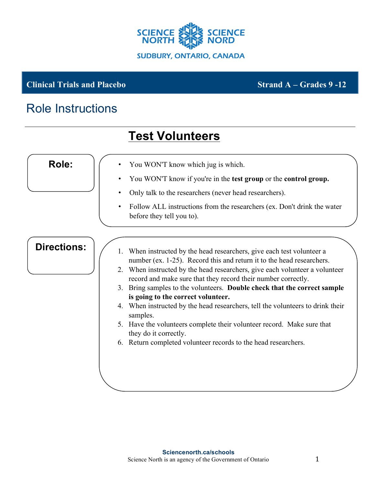

**Test Volunteers**

## **Clinical Trials and Placebo** Strand A – Grades 9 -12

## Role Instructions

| <b>Role:</b><br>You WON'T know which jug is which.<br>You WON'T know if you're in the test group or the control group.<br>Only talk to the researchers (never head researchers).<br>$\bullet$<br>Follow ALL instructions from the researchers (ex. Don't drink the water<br>$\bullet$<br>before they tell you to).<br><b>Directions:</b><br>1. When instructed by the head researchers, give each test volunteer a<br>number (ex. 1-25). Record this and return it to the head researchers.<br>2. When instructed by the head researchers, give each volunteer a volunteer<br>record and make sure that they record their number correctly.<br>3. Bring samples to the volunteers. Double check that the correct sample<br>is going to the correct volunteer.<br>4. When instructed by the head researchers, tell the volunteers to drink their<br>samples.<br>5. Have the volunteers complete their volunteer record. Make sure that<br>they do it correctly.<br>6. Return completed volunteer records to the head researchers. |  | LGƏL VULULLUGI Ə |
|----------------------------------------------------------------------------------------------------------------------------------------------------------------------------------------------------------------------------------------------------------------------------------------------------------------------------------------------------------------------------------------------------------------------------------------------------------------------------------------------------------------------------------------------------------------------------------------------------------------------------------------------------------------------------------------------------------------------------------------------------------------------------------------------------------------------------------------------------------------------------------------------------------------------------------------------------------------------------------------------------------------------------------|--|------------------|
|                                                                                                                                                                                                                                                                                                                                                                                                                                                                                                                                                                                                                                                                                                                                                                                                                                                                                                                                                                                                                                  |  |                  |
|                                                                                                                                                                                                                                                                                                                                                                                                                                                                                                                                                                                                                                                                                                                                                                                                                                                                                                                                                                                                                                  |  |                  |
|                                                                                                                                                                                                                                                                                                                                                                                                                                                                                                                                                                                                                                                                                                                                                                                                                                                                                                                                                                                                                                  |  |                  |
|                                                                                                                                                                                                                                                                                                                                                                                                                                                                                                                                                                                                                                                                                                                                                                                                                                                                                                                                                                                                                                  |  |                  |
|                                                                                                                                                                                                                                                                                                                                                                                                                                                                                                                                                                                                                                                                                                                                                                                                                                                                                                                                                                                                                                  |  |                  |
|                                                                                                                                                                                                                                                                                                                                                                                                                                                                                                                                                                                                                                                                                                                                                                                                                                                                                                                                                                                                                                  |  |                  |
|                                                                                                                                                                                                                                                                                                                                                                                                                                                                                                                                                                                                                                                                                                                                                                                                                                                                                                                                                                                                                                  |  |                  |
|                                                                                                                                                                                                                                                                                                                                                                                                                                                                                                                                                                                                                                                                                                                                                                                                                                                                                                                                                                                                                                  |  |                  |
|                                                                                                                                                                                                                                                                                                                                                                                                                                                                                                                                                                                                                                                                                                                                                                                                                                                                                                                                                                                                                                  |  |                  |
|                                                                                                                                                                                                                                                                                                                                                                                                                                                                                                                                                                                                                                                                                                                                                                                                                                                                                                                                                                                                                                  |  |                  |
|                                                                                                                                                                                                                                                                                                                                                                                                                                                                                                                                                                                                                                                                                                                                                                                                                                                                                                                                                                                                                                  |  |                  |
|                                                                                                                                                                                                                                                                                                                                                                                                                                                                                                                                                                                                                                                                                                                                                                                                                                                                                                                                                                                                                                  |  |                  |
|                                                                                                                                                                                                                                                                                                                                                                                                                                                                                                                                                                                                                                                                                                                                                                                                                                                                                                                                                                                                                                  |  |                  |
|                                                                                                                                                                                                                                                                                                                                                                                                                                                                                                                                                                                                                                                                                                                                                                                                                                                                                                                                                                                                                                  |  |                  |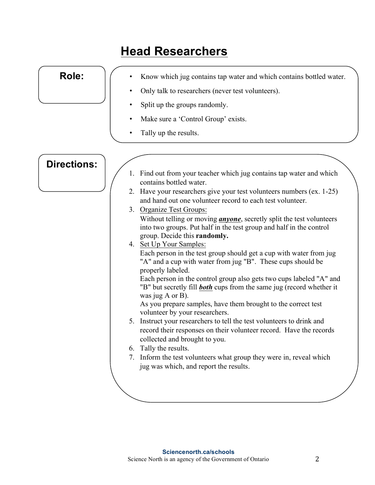| <b>Role:</b>       | Know which jug contains tap water and which contains bottled water.                                                                                                                              |
|--------------------|--------------------------------------------------------------------------------------------------------------------------------------------------------------------------------------------------|
|                    | Only talk to researchers (never test volunteers).                                                                                                                                                |
|                    | Split up the groups randomly.                                                                                                                                                                    |
|                    | Make sure a 'Control Group' exists.                                                                                                                                                              |
|                    | Tally up the results.                                                                                                                                                                            |
| <b>Directions:</b> |                                                                                                                                                                                                  |
|                    | 1. Find out from your teacher which jug contains tap water and which<br>contains bottled water.                                                                                                  |
|                    | 2. Have your researchers give your test volunteers numbers (ex. 1-25)<br>and hand out one volunteer record to each test volunteer.                                                               |
|                    | 3. Organize Test Groups:<br>Without telling or moving <i>anyone</i> , secretly split the test volunteers<br>into two groups. Put half in the test group and half in the control                  |
|                    | group. Decide this randomly.<br>4. Set Up Your Samples:<br>Each person in the test group should get a cup with water from jug<br>"A" and a cup with water from jug "B". These cups should be     |
|                    | properly labeled.<br>Each person in the control group also gets two cups labeled "A" and<br>"B" but secretly fill <b>both</b> cups from the same jug (record whether it<br>was jug $A$ or $B$ ). |
|                    | As you prepare samples, have them brought to the correct test<br>volunteer by your researchers.                                                                                                  |
|                    | 5. Instruct your researchers to tell the test volunteers to drink and<br>record their responses on their volunteer record. Have the records<br>collected and brought to you.                     |
|                    | 6. Tally the results.                                                                                                                                                                            |
|                    | 7. Inform the test volunteers what group they were in, reveal which<br>jug was which, and report the results.                                                                                    |